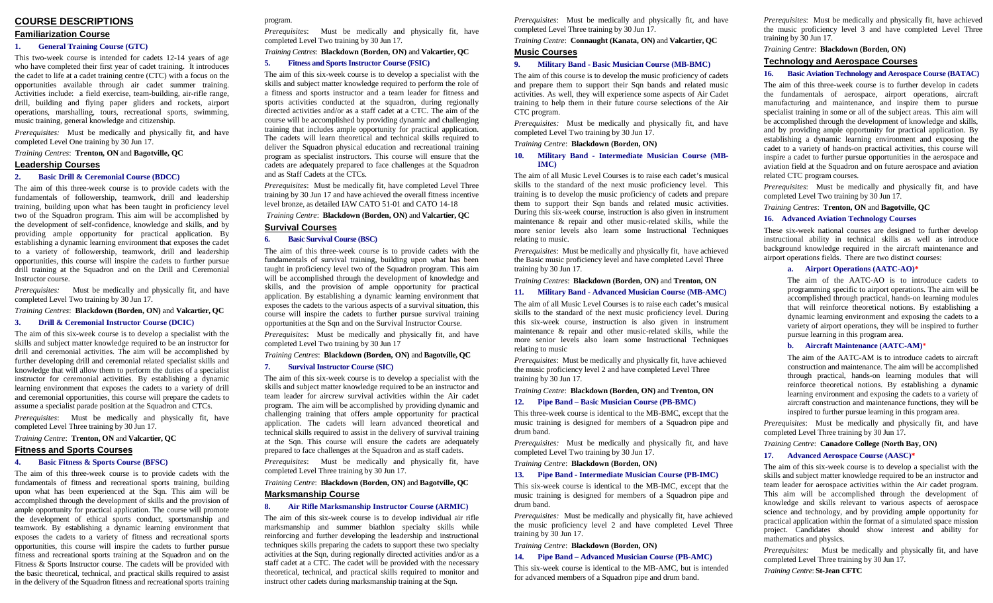#### **COURSE DESCRIPTIONS**

#### **Familiarization Course**

#### **1. General Training Course (GTC)**

This two-week course is intended for cadets 12-14 years of age who have completed their first year of cadet training. It introduces the cadet to life at a cadet training centre (CTC) with a focus on the opportunities available through air cadet summer training. Activities include: a field exercise, team-building, air-rifle range, drill, building and flying paper gliders and rockets, airport operations, marshalling, tours, recreational sports, swimming, music training, general knowledge and citizenship.

*Prerequisites:* Must be medically and physically fit, and have completed Level One training by 30 Jun 17.

*Training Centres*: **Trenton, ON** and **Bagotville, QC**

#### **Leadership Courses**

#### **2.Basic Drill & Ceremonial Course (BDCC)**

The aim of this three-week course is to provide cadets with the fundamentals of followership, teamwork, drill and leadership training, building upon what has been taught in proficiency level two of the Squadron program. This aim will be accomplished by the development of self-confidence, knowledge and skills, and by providing ample opportunity for practical application. By establishing a dynamic learning environment that exposes the cadet to a variety of followership, teamwork, drill and leadership opportunities, this course will inspire the cadets to further pursue drill training at the Squadron and on the Drill and Ceremonial Instructor course.

*Prerequisites:* Must be medically and physically fit, and have completed Level Two training by 30 Jun 17.

#### *Training Centres*: **Blackdown (Borden, ON)** and **Valcartier, QC**

#### **3.Drill & Ceremonial Instructor Course (DCIC)**

The aim of this six-week course is to develop a specialist with the skills and subject matter knowledge required to be an instructor for drill and ceremonial activities. The aim will be accomplished by further developing drill and ceremonial related specialist skills and knowledge that will allow them to perform the duties of a specialist instructor for ceremonial activities. By establishing a dynamic learning environment that exposes the cadets to a variety of drill and ceremonial opportunities, this course will prepare the cadets to assume a specialist parade position at the Squadron and CTCs.

*Prerequisites*: Must be medically and physically fit, have completed Level Three training by 30 Jun 17.

#### *Training Centre*: **Trenton, ON** and **Valcartier, QC**

#### **Fitness and Sports Courses**

#### **4.Basic Fitness & Sports Course (BFSC)**

The aim of this three-week course is to provide cadets with the fundamentals of fitness and recreational sports training, building upon what has been experienced at the Sqn. This aim will be accomplished through the development of skills and the provision of ample opportunity for practical application. The course will promote the development of ethical sports conduct, sportsmanship and teamwork. By establishing a dynamic learning environment that exposes the cadets to a variety of fitness and recreational sports opportunities, this course will inspire the cadets to further pursue fitness and recreational sports training at the Squadron and on the Fitness & Sports Instructor course. The cadets will be provided with the basic theoretical, technical, and practical skills required to assist in the delivery of the Squadron fitness and recreational sports training

#### program.

*Prerequisites*: Must be medically and physically fit, have completed Level Two training by 30 Jun 17.

*Training Centres*: **Blackdown (Borden, ON)** and **Valcartier, QC**

#### **5. Fitness and Sports Instructor Course (FSIC)**

The aim of this six-week course is to develop a specialist with the skills and subject matter knowledge required to perform the role of a fitness and sports instructor and a team leader for fitness and sports activities conducted at the squadron, during regionally directed activities and/or as a staff cadet at a CTC. The aim of the course will be accomplished by providing dynamic and challenging training that includes ample opportunity for practical application. The cadets will learn theoretical and technical skills required to deliver the Squadron physical education and recreational training program as specialist instructors. This course will ensure that the cadets are adequately prepared to face challenges at the Squadron and as Staff Cadets at the CTCs.

*Prerequisites*: Must be medically fit, have completed Level Three training by 30 Jun 17 and have achieved the overall fitness incentive level bronze, as detailed IAW CATO 51-01 and CATO 14-18

#### *Training Centre*: **Blackdown (Borden, ON)** and **Valcartier, QC**

#### **Survival Courses**

#### **6.Basic Survival Course (BSC)**

The aim of this three-week course is to provide cadets with the fundamentals of survival training, building upon what has been taught in proficiency level two of the Squadron program. This aim will be accomplished through the development of knowledge and skills, and the provision of ample opportunity for practical application. By establishing a dynamic learning environment that exposes the cadets to the various aspects of a survival situation, this course will inspire the cadets to further pursue survival training opportunities at the Sqn and on the Survival Instructor Course.

*Prerequisites*: Must be medically and physically fit, and have completed Level Two training by 30 Jun 17

#### *Training Centres*: **Blackdown (Borden, ON)** and **Bagotville, QC**

#### **7. Survival Instructor Course (SIC)**

The aim of this six-week course is to develop a specialist with the skills and subject matter knowledge required to be an instructor and team leader for aircrew survival activities within the Air cadet program. The aim will be accomplished by providing dynamic and challenging training that offers ample opportunity for practical application. The cadets will learn advanced theoretical and technical skills required to assist in the delivery of survival training at the Sqn. This course will ensure the cadets are adequately prepared to face challenges at the Squadron and as staff cadets.

*Prerequisites*: Must be medically and physically fit, have completed Level Three training by 30 Jun 17.

#### *Training Centre*: **Blackdown (Borden, ON)** and **Bagotville, QCMarksmanship Course**

#### **8. Air Rifle Marksmanship Instructor Course (ARMIC)**

The aim of this six-week course is to develop individual air rifle marksmanship and summer biathlon specialty skills while reinforcing and further developing the leadership and instructional techniques skills preparing the cadets to support these two specialty activities at the Sqn, during regionally directed activities and/or as a staff cadet at a CTC. The cadet will be provided with the necessary theoretical, technical, and practical skills required to monitor and instruct other cadets during marksmanship training at the Sqn.

*Prerequisites*: Must be medically and physically fit, and have completed Level Three training by 30 Jun 17.

*Training Centre*: **Connaught (Kanata, ON)** and **Valcartier, QCMusic Courses** 

#### **9. Military Band - Basic Musician Course (MB-BMC)**

The aim of this course is to develop the music proficiency of cadets and prepare them to support their Sqn bands and related music activities. As well, they will experience some aspects of Air Cadet training to help them in their future course selections of the Air CTC program.

*Prerequisites:* Must be medically and physically fit, and have completed Level Two training by 30 Jun 17.

*Training Centre*: **Blackdown (Borden, ON)**

#### **10. Military Band - Intermediate Musician Course (MB-IMC)**

The aim of all Music Level Courses is to raise each cadet's musical skills to the standard of the next music proficiency level. This training is to develop the music proficiency of cadets and prepare them to support their Sqn bands and related music activities. During this six-week course, instruction is also given in instrument maintenance & repair and other music-related skills, while the more senior levels also learn some Instructional Techniques relating to music.

*Prerequisites*: Must be medically and physically fit, have achieved the Basic music proficiency level and have completed Level Three training by 30 Jun 17.

#### *Training Centres*: **Blackdown (Borden, ON)** and **Trenton, ON**

## **11. Military Band - Advanced Musician Course (MB-AMC)**

The aim of all Music Level Courses is to raise each cadet's musical skills to the standard of the next music proficiency level. During this six-week course, instruction is also given in instrument maintenance & repair and other music-related skills, while the more senior levels also learn some Instructional Techniques relating to music

*Prerequisites*: Must be medically and physically fit, have achieved the music proficiency level 2 and have completed Level Three training by 30 Jun 17.

*Training Centre*: **Blackdown (Borden, ON)** and **Trenton, ON**

#### **12. Pipe Band – Basic Musician Course (PB-BMC)**

This three-week course is identical to the MB-BMC, except that the music training is designed for members of a Squadron pipe and drum band.

*Prerequisites:* Must be medically and physically fit, and have completed Level Two training by 30 Jun 17.

*Training Centre*: **Blackdown (Borden, ON)**

#### **13. Pipe Band - Intermediate Musician Course (PB-IMC)**

This six-week course is identical to the MB-IMC, except that the music training is designed for members of a Squadron pipe and drum band.

*Prerequisites:* Must be medically and physically fit, have achieved the music proficiency level 2 and have completed Level Three training by 30 Jun 17.

*Training Centre*: **Blackdown (Borden, ON)**

#### **14. Pipe Band – Advanced Musician Course (PB-AMC)**

This six-week course is identical to the MB-AMC, but is intended for advanced members of a Squadron pipe and drum band.

*Prerequisites*: Must be medically and physically fit, have achieved the music proficiency level 3 and have completed Level Three training by 30 Jun 17.

*Training Centre*: **Blackdown (Borden, ON)**

#### **Technology and Aerospace Courses**

#### **16. Basic Aviation Technology and Aerospace Course (BATAC)**

The aim of this three-week course is to further develop in cadets the fundamentals of aerospace, airport operations, aircraft manufacturing and maintenance, and inspire them to pursue specialist training in some or all of the subject areas. This aim will be accomplished through the development of knowledge and skills, and by providing ample opportunity for practical application. By establishing a dynamic learning environment and exposing the cadet to a variety of hands-on practical activities, this course will inspire a cadet to further pursue opportunities in the aerospace and aviation field at the Squadron and on future aerospace and aviation related CTC program courses.

*Prerequisites*: Must be medically and physically fit, and have completed Level Two training by 30 Jun 17.

*Training Centres*: **Trenton, ON** and **Bagotville, QC**

#### **16. Advanced Aviation Technology Courses**

These six-week national courses are designed to further develop instructional ability in technical skills as well as introduce background knowledge required in the aircraft maintenance and airport operations fields. There are two distinct courses:

#### **a. Airport Operations (AATC-AO)\***

 The aim of the AATC-AO is to introduce cadets to programming specific to airport operations. The aim will be accomplished through practical, hands-on learning modules that will reinforce theoretical notions. By establishing a dynamic learning environment and exposing the cadets to a variety of airport operations, they will be inspired to further pursue learning in this program area.

#### **b. Aircraft Maintenance (AATC-AM)**\*

The aim of the AATC-AM is to introduce cadets to aircraft construction and maintenance. The aim will be accomplished through practical, hands-on learning modules that will reinforce theoretical notions. By establishing a dynamic learning environment and exposing the cadets to a variety of aircraft construction and maintenance functions, they will be inspired to further pursue learning in this program area.

*Prerequisites*: Must be medically and physically fit, and have completed Level Three training by 30 Jun 17.

*Training Centre*: **Canadore College (North Bay, ON)** 

#### **17. Advanced Aerospace Course (AASC)\***

 The aim of this six-week course is to develop a specialist with the skills and subject matter knowledge required to be an instructor and team leader for aerospace activities within the Air cadet program. This aim will be accomplished through the development of knowledge and skills relevant to various aspects of aerospace science and technology, and by providing ample opportunity for practical application within the format of a simulated space mission project. Candidates should show interest and ability for mathematics and physics.

*Prerequisites:* Must be medically and physically fit, and have completed Level Three training by 30 Jun 17.

*Training Centre*: **St-Jean CFTC**